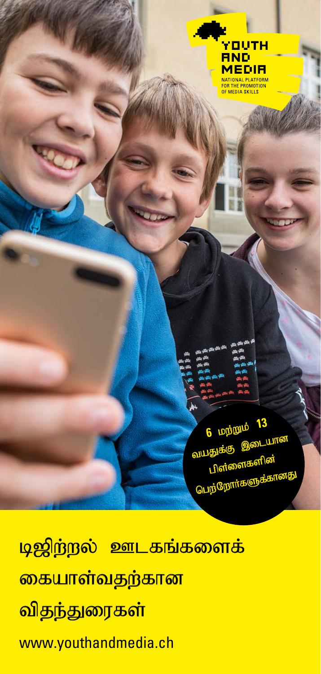

6 **DD** DDD 13

**NILLI** 

வயதுக்கு<br>வயதுக்கு

பிள் பு மு<sup>ருர்</sup>

<mark>டிஜிற்றல் ஊடகங்களைக்</mark> <mark>கையாள்வதற்கான</mark> <mark>விதந்துரைகள்</mark> www.youthandmedia.ch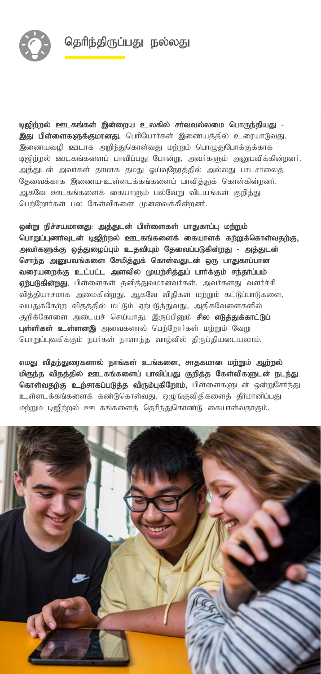

டிஜிற்றல் ஊடகங்கள் இன்றைய உலகில் சர்வவல்லமை பொருந்தியது -இது பிள்ளைகளுக்குமானது. பெரியோர்கள் இணையத்தில் உரையாடுவது, இணையவழி ஊடாக அறிந்துகொள்வது மற்றும் பொழுதுபோக்குக்காக டிஜிற்றல் ஊடகங்களைப் பாவிப்பது போன்று, அவர்களும் அறையவிக்கின்றனர். அத்துடன் அவர்கள் தாமாக தமது ஓய்வுநேரத்தில் அல்லது பாடசாலைத் தேவைக்காக இணைய-உள்ளடக்கங்களைப் பாவித்துக் கொள்கின்றனர். அகவே ஊடகங்களைக் கையாளும் பல்வேறு விடயங்கள் குறித்து பெற்றோர்கள் பல கேள்விகளை முன்வைக்கின்றனர்.

ஒன்று நிச்சயமானது: அத்துடன் பிள்ளைகள் பாதுகாப்பு மற்றும் பொறுப்புணர்வுடன் டிஜிற்றல் ஊடகங்களைக் கையாளக் கற்றுக்கொள்வதற்கு, அவர்களுக்கு ஒத்துழைப்பும் உதவியும் தேவைப்படுகின்றது - அத்துடன் சொந்த அனுபவங்களை சேமித்துக் கொள்வதுடன் ஒரு பாதுகாப்பான வரையறைக்கு உட்பட்ட அளவில் முயற்சித்துப் பார்க்கும் சந்தர்ப்பம் ஏற்படுகின்றது. பிள்ளைகள் தனித்துவமானவர்கள், அவர்களது வளர்ச்சி வித்தியாசமாக அமைகின்றது, ஆகவே விதிகள் மற்றும் கட்டுப்பாடுகளை, வயதுக்கேற்ற விதத்தில் மட்டும் ஏற்படுத்துவது, அதிகவேளைகளில் குறிக்கோளை அடையச் செய்யாது. இருப்பினும் **சில எடுத்துக்காட்டுப்** புள்ளிகள் உள்ளனஇ அவைகளால் பெற்றோர்கள் மற்றும் வேறு பொறுப்பவகிக்கும் நபர்கள் நாளாந்த வாம்வில் கிருப்கியடையலாம்.

எமது விதந்துரைகளால் நாங்கள் உங்களை, சாதகமான மற்றும் ஆற்றல் மிகுந்த விதத்தில் ஊடகங்களைப் பாவிப்பது குறித்த கேள்விகளுடன் நடந்து கொள்வதற்கு உற்சாகப்படுத்த விரும்புகிறோம், பிள்ளைகளுடன் ஒன்றுசேர்ந்து உள்ளடக்கங்களைக் கண்டுகொள்வது, ஒழுங்குவிதிகளைத் தீர்மானிப்பது மற்றும் டிஜிற்றல் ஊடகங்களைத் தெரிந்துகொண்டு கையாள்வதாகும்.

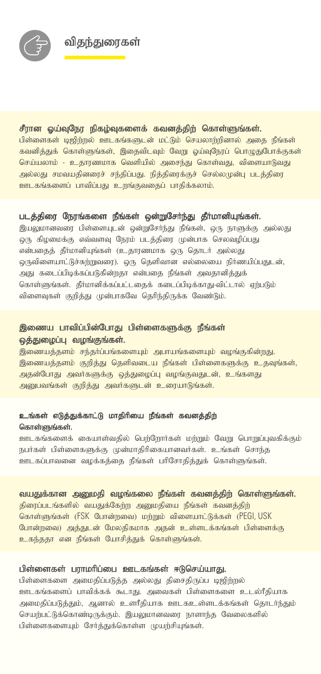#### சீரான ஒய்வுநேர நிகழ்வுகளைக் கவனத்திற் கொள்ளுங்கள்.

பிள்ளைகள் டிஜிற்றல் ஊடகங்களுடன் மட்டும் செயலாற்றினால் அதை நீங்கள் கவனித்துக் கொள்ளுங்கள், இதைவிடவும் வேறு ஓய்வுநேரப் பொழுதுபோக்குகள் செய்யலாம் - உதாரணமாக வெளியில் அசைந்து கொள்வது, விளையாடுவது அல்லது சமவயதினரைச் சந்திப்பது. நித்திரைக்குச் செல்லமுன்பு படத்திரை ஊடகங்களைப் பாவிப்பது உ<u>றங்குவகைப் பா</u>கிக்கலாம்.

#### படத்திரை நேரங்களை நீங்கள் ஒன்றுசேர்ந்து தீர்மானியுங்கள்.

இயலுமானவரை பிள்ளையுடன் ஒன்றுசேர்ந்து நீங்கள், ஒரு நாளுக்கு அல்லது ஒரு கிழமைக்கு எவ்வளவு நேரம் படத்திரை முன்பாக செலவழிப்பது என்பதைத் தீர்மானியுங்கள் (உதாரணமாக ஒரு தொடர் அல்லது ஒருவிளையாட்டுச்சுற்றுவரை). ஒரு தெளிவான எல்லையை நிர்ணயிப்பதுடன், அது கடைப்பிடிக்கப்படுகின்றதா என்பதை நீங்கள் அவதானிக்துக் கொள்ளுங்கள். தீர்மானிக்கப்பட்டதைக் கடைப்பிடிக்காது-விட்டால் ஏற்படும் விளைவுகள் குறித்து முன்பாகவே தெரிந்திருக்க வேண்டும்.

# இணைய பாவிப்பின்போது பிள்ளைகளுக்கு நீங்கள் ஓத்துழைப்பு வழங்குங்கள்.

.<br>இணையத்தளம் சந்தர்ப்பங்களையும் அபாயங்களையும் வழங்குகின்<u>றது</u>. இணையத்தளம் குறித்து தெளிவடைய நீங்கள் பிள்ளைகளுக்கு உதவுங்கள், அதன்போது அவர்களுக்கு ஒத்துழைப்பு வழங்குவதுடன், உங்களது அனுபவங்கள் குறித்து அவர்களுடன் உரையாடுங்கள்.

#### உங்கள் எடுத்துக்காட்டு மாதிரியை நீங்கள் கவனத்திற் கொள்ளுங்கள்.

ஊடகங்களைக் கையாள்வகில் பெர்<mark>ரோர்கள் மர்மும் வேறு பொறுப்பவ</mark>கிக்கும் நபர்கள் பிள்ளைகளுக்கு முன்மாதிரிகையானவர்கள். உங்கள் சொந்த ஊடகப்பாவனை வழக்கத்தை நீங்கள் பரிசோதித்துக் கொள்ளுங்கள்.

## வயதுக்கான அனுமதி வழங்கலை நீங்கள் கவனத்திற் கொள்ளுங்கள்.

திரைப்படங்களில் வயதுக்கேற்ற அனுமதியை நீங்கள் கவனத்திற் கொள்ளுங்கள் (FSK போன்றவை) மற்றும் விளையாட்டுக்கள் (PEGI, USK போன்றவை) அத்துடன் மேலதிகமாக அதன் உள்ளடக்கங்கள் பிள்ளைக்கு உகந்ததா என நீங்கள் யோசிக்குக் கொள்ளுங்கள்.

#### பிள்ளைகள் பராமரிப்பை ஊடகங்கள் ஈடுசெய்யாது.

பிள்ளைகளை அமைதிப்படுத்த அல்லது திசைதிருப்ப டிஜிற்றல் ஊடகங்களைப் பாவிக்கக் கூடாது. அவைகள் பிள்ளைகளை உடல்ரீதியாக அமைதிப்படுத்தும், ஆனால் உளரீதியாக ஊடகஉள்ளடக்கங்கள் தொடர்ந்தும் செயற்பட்டுக்கொண்டிருக்கும். இயலுமானவரை நாளாந்த வேலைகளில் பிள்ளைகளையும் சேர்த்துக்கொள்ள முயற்சியுங்கள்.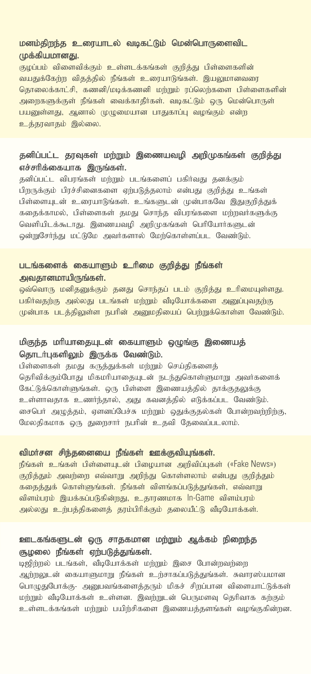## மனம்திறந்த உரையாடல் வடிகட்டும் மென்பொருளைவிட முக்கியமானது.

குழப்பம் விளைவிக்கும் உள்ளடக்கங்கள் குறித்து பிள்ளைகளின் வயதுக்கேற்ற விதத்தில் நீங்கள் உரையாடுங்கள். இயலுமானவரை தொலைக்காட்சி, கணனி/மடிக்கணனி மற்றும் ரப்லெற்களை பிள்ளைகளின் அறைகளுக்குள் நீங்கள் வைக்காதீர்கள். வடிகட்டும் ஒரு மென்பொருள் பயணள்ளகு, ஆனால் முமுமையான பாகுகாப்ப வமங்கும் என்ற உத்தரவாதம் இல்லை.

## தனிப்பட்ட தரவுகள் மற்றும் இணையவழி அறிமுகங்கள் குறித்து எச்சரிக்கையாக இருங்கள்.

தனிப்பட்ட விபரங்கள் மற்றும் படங்களைப் பகிர்வது தனக்கும் பிறருக்கும் பிரச்சினைகளை எற்படுக்கலாம் என்பது குறிக்கு உங்கள் பிள்ளையுடன் உரையாடுங்கள். உங்களுடன் முன்பாகவே இதுகுறித்துக் கதைக்காமல், பிள்ளைகள் தமது சொந்த விபரங்களை மற்றவர்களுக்கு வெளியிடக்கூடாது. இணையவழி அறிமுகங்கள் பெரியோர்களுடன் ஒன்றுசேர்ந்து மட்டுமே அவர்களால் மேற்கொள்ளப்பட வேண்டும்.

# படங்களைக் கையாளும் உரிமை குறித்து நீங்கள்

அவதானமாயிருங்கள்.

ஒவ்வொரு மனிதனுக்கும் தனது சொந்தப் படம் குறித்து உரிமையுள்ளது. பகிர்வதற்கு அல்லது படங்கள் மற்றும் வீடியோக்களை அனுப்புவதற்கு முன்பாக படத்திலுள்ள நபரின் அனுமதியைப் பெற்றுக்கொள்ள வேண்டும்.

## மிகுந்த மரியாதையுடன் கையாளும் ஒழுங்கு இணையத் தொடர்புகளிலும் இருக்க வேண்டும்.

பிள்ளைகள் தமது கருத்துக்கள் மற்றும் செய்திகளைத் தெரிவிக்கும்போது மிகமரியாதையுடன் நடந்துகொள்ளுமாறு அவர்களைக் கேட்டுக்கொள்ளுங்கள். ஒரு பிள்ளை இணையத்தில் தாக்குதலுக்கு உள்ளாவதாக உணர்ந்தால், அது கவனத்தில் எடுக்கப்பட வேண்டும். சைபெர் அழுத்தம், ஏளனப்பேச்சு மற்றும் ஒதுக்குதல்கள் போன்றவற்றிற்கு, மேலதிகமாக ஒரு துறைசார் நபரின் உதவி தேவைப்படலாம்.

#### விமர்சன சிந்தனையை நீங்கள் ஊக்குவியுங்கள்.

நீங்கள் உங்கள் பிள்ளையுடன் பிழையான அறிவிப்புகள் («Fake News») குறித்தும் அவற்றை எவ்வாறு அறிந்து கொள்ளலாம் என்பது குறித்தும் கதைத்துக் கொள்ளுங்கள். நீங்கள் விளங்கப்படுத்துங்கள், எவ்வாறு விளம்பரம் இயக்கப்படுகின்றது, உதாரணமாக In-Game விளம்பரம் அல்லது உர்பக்கிகளைக் காம்பிரிக்கும் கலையீட்டு வீடியோக்கள்.

## ஊடகங்களுடன் ஒரு சாதகமான மற்றும் ஆக்கம் நிறைந்த சூழலை நீங்கள் ஏற்படுத்துங்கள்.

டிஜிற்றல் படங்கள், வீடியோக்கள் மற்றும் இசை போன்றவற்றை அற்றலுடன் கையாளுமாறு நீங்கள் உற்சாகப்படுத்துங்கள். சுவாரஸ்யமான பொழுதுபோக்கு- அனுபவங்களைத்தரும் மிகச் சிறப்பான விளையாட்டுக்கள் மற்றும் வீடியோக்கள் உள்ளன. இவற்றுடன் பெருமளவு தெரிவாக கற்கும் உள்ளடக்கங்கள் மற்றும் பயிற்சிகளை இணையத்தளங்கள் வழங்குகின்றன.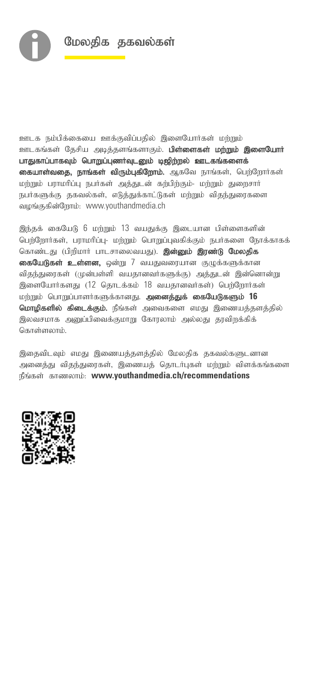

ஊடக நம்பிக்கையை ஊக்குவிப்பதில் இளையோர்கள் மற்றும் ஊடகங்கள் தேசிய அடித்தளங்களாகும். **பிள்ளைகள் மற்றும் இளையோர்** பாதுகாப்பாகவும் பொறுப்புணர்வுடனும் டிஜிற்றல் ஊடகங்களைக் கையாள்வதை, நாங்கள் விரும்புகிறோம். ஆகவே நாங்கள், பெற்றோர்கள் மற்றும் பராமரிப்பு நபர்கள் அத்துடன் கற்பிற்கும்- மற்றும் துறைசார் நபர்களுக்கு தகவல்கள், எடுத்துக்காட்டுகள் மற்றும் விதந்துரைகளை வழங்குகின்றோம்: www.youthandmedia.ch

இந்தக் கையேடு 6 மற்றும் 13 வயதுக்கு இடையான பிள்ளைகளின் பெற்றோர்கள், பராமரிப்பு- மற்றும் பொறுப்புவகிக்கும் நபர்களை நோக்காகக் கொண்டது (பிறிமார் பாடசாலைவயது). **இன்னும் இரண்டு மேலதிக கையேடுகள் உள்ளன,** ஒன்று 7 வயதுவரையான குழுக்களுக்கான விதந்துரைகள் (முன்பள்ளி வயதானவர்களுக்கு) அத்துடன் இன்னொன்று இளையோர்களது (12 கொடக்கம் 18 வயதானவர்கள்) பெற்றோர்கள் மற்றும் பொறுப்பாளர்களுக்கானது. அனைத்துக் கையேடுகளும் 16 மொழிகளில் கிடைக்கும். நீங்கள் அவைகளை எமது இணையத்தளத்தில் இலவசமாக அபை்பிவைக்குமாறு கோரலாம் அல்லது தாவிறக்கிக் கொள்ளலாம்.

இதைவிடவும் எமது இணையத்தளத்தில் மேலதிக தகவல்களுடனான அனைத்து விதந்துரைகள், இணையத் தொடர்புகள் மற்றும் விளக்கங்களை நீங்கள் காணலாம்: www.youthandmedia.ch/recommendations